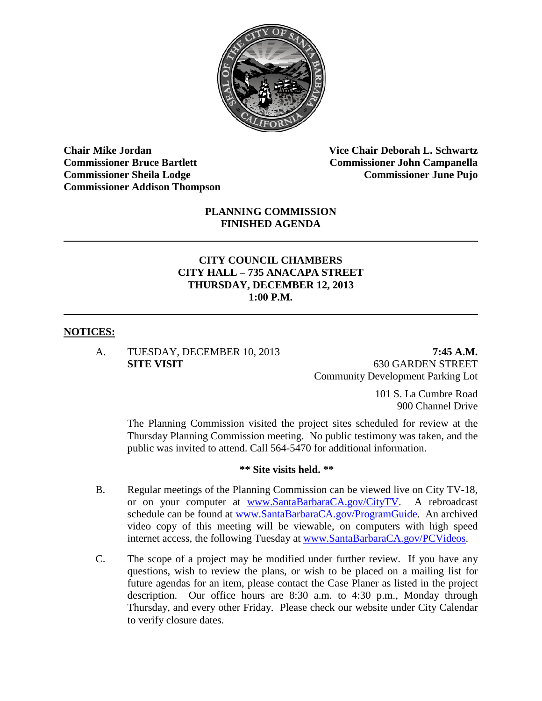

**Chair Mike Jordan Vice Chair Deborah L. Schwartz Commissioner Bruce Bartlett Commissioner John Campanella Commissioner Sheila Lodge Commissioner June Pujo Commissioner Addison Thompson**

#### **PLANNING COMMISSION FINISHED AGENDA**

#### **CITY COUNCIL CHAMBERS CITY HALL – 735 ANACAPA STREET THURSDAY, DECEMBER 12, 2013 1:00 P.M.**

#### **NOTICES:**

A. TUESDAY, DECEMBER 10, 2013 **7:45 A.M.**

**SITE VISIT** 630 GARDEN STREET Community Development Parking Lot

> 101 S. La Cumbre Road 900 Channel Drive

The Planning Commission visited the project sites scheduled for review at the Thursday Planning Commission meeting. No public testimony was taken, and the public was invited to attend. Call 564-5470 for additional information.

#### **\*\* Site visits held. \*\***

- B. Regular meetings of the Planning Commission can be viewed live on City TV-18, or on your computer at [www.SantaBarbaraCA.gov/CityTV.](http://www.santabarbaraca.gov/CityTV) A rebroadcast schedule can be found at [www.SantaBarbaraCA.gov/ProgramGuide.](http://www.santabarbaraca.gov/ProgramGuide) An archived video copy of this meeting will be viewable, on computers with high speed internet access, the following Tuesday at [www.SantaBarbaraCA.gov/PCVideos.](http://www.santabarbaraca.gov/PCVideos)
- C. The scope of a project may be modified under further review. If you have any questions, wish to review the plans, or wish to be placed on a mailing list for future agendas for an item, please contact the Case Planer as listed in the project description. Our office hours are 8:30 a.m. to 4:30 p.m., Monday through Thursday, and every other Friday. Please check our website under City Calendar to verify closure dates.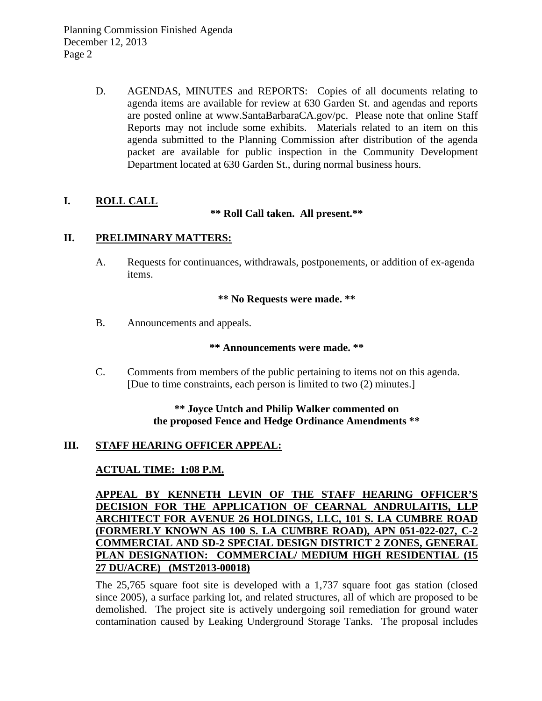D. AGENDAS, MINUTES and REPORTS: Copies of all documents relating to agenda items are available for review at 630 Garden St. and agendas and reports are posted online at [www.SantaBarbaraCA.gov/](http://www.santabarbaraca.gov/)pc. Please note that online Staff Reports may not include some exhibits. Materials related to an item on this agenda submitted to the Planning Commission after distribution of the agenda packet are available for public inspection in the Community Development Department located at 630 Garden St., during normal business hours.

### **I. ROLL CALL**

#### **\*\* Roll Call taken. All present.\*\***

### **II. PRELIMINARY MATTERS:**

A. Requests for continuances, withdrawals, postponements, or addition of ex-agenda items.

#### **\*\* No Requests were made. \*\***

B. Announcements and appeals.

#### **\*\* Announcements were made. \*\***

C. Comments from members of the public pertaining to items not on this agenda. [Due to time constraints, each person is limited to two (2) minutes.]

### **\*\* Joyce Untch and Philip Walker commented on the proposed Fence and Hedge Ordinance Amendments \*\***

# **III. STAFF HEARING OFFICER APPEAL:**

# **ACTUAL TIME: 1:08 P.M.**

**APPEAL BY KENNETH LEVIN OF THE STAFF HEARING OFFICER'S DECISION FOR THE APPLICATION OF CEARNAL ANDRULAITIS, LLP ARCHITECT FOR AVENUE 26 HOLDINGS, LLC, 101 S. LA CUMBRE ROAD (FORMERLY KNOWN AS 100 S. LA CUMBRE ROAD), APN 051-022-027, C-2 COMMERCIAL AND SD-2 SPECIAL DESIGN DISTRICT 2 ZONES, GENERAL PLAN DESIGNATION: COMMERCIAL/ MEDIUM HIGH RESIDENTIAL (15 27 DU/ACRE) (MST2013-00018)**

The 25,765 square foot site is developed with a 1,737 square foot gas station (closed since 2005), a surface parking lot, and related structures, all of which are proposed to be demolished. The project site is actively undergoing soil remediation for ground water contamination caused by Leaking Underground Storage Tanks. The proposal includes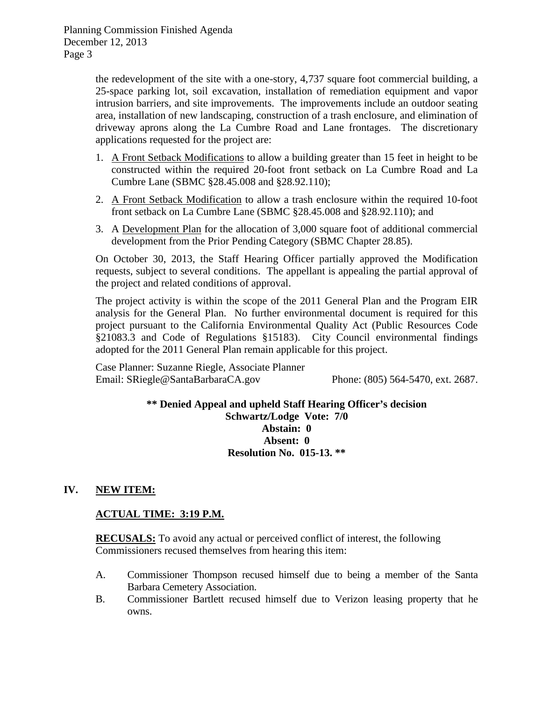Planning Commission Finished Agenda December 12, 2013 Page 3

> the redevelopment of the site with a one-story, 4,737 square foot commercial building, a 25-space parking lot, soil excavation, installation of remediation equipment and vapor intrusion barriers, and site improvements. The improvements include an outdoor seating area, installation of new landscaping, construction of a trash enclosure, and elimination of driveway aprons along the La Cumbre Road and Lane frontages. The discretionary applications requested for the project are:

- 1. A Front Setback Modifications to allow a building greater than 15 feet in height to be constructed within the required 20-foot front setback on La Cumbre Road and La Cumbre Lane (SBMC §28.45.008 and §28.92.110);
- 2. A Front Setback Modification to allow a trash enclosure within the required 10-foot front setback on La Cumbre Lane (SBMC §28.45.008 and §28.92.110); and
- 3. A Development Plan for the allocation of 3,000 square foot of additional commercial development from the Prior Pending Category (SBMC Chapter 28.85).

On October 30, 2013, the Staff Hearing Officer partially approved the Modification requests, subject to several conditions. The appellant is appealing the partial approval of the project and related conditions of approval.

The project activity is within the scope of the 2011 General Plan and the Program EIR analysis for the General Plan. No further environmental document is required for this project pursuant to the California Environmental Quality Act (Public Resources Code §21083.3 and Code of Regulations §15183). City Council environmental findings adopted for the 2011 General Plan remain applicable for this project.

Case Planner: Suzanne Riegle, Associate Planner Email: SRiegle@SantaBarbaraCA.gov Phone: (805) 564-5470, ext. 2687.

> **\*\* Denied Appeal and upheld Staff Hearing Officer's decision Schwartz/Lodge Vote: 7/0 Abstain: 0 Absent: 0 Resolution No. 015-13. \*\***

### **IV. NEW ITEM:**

### **ACTUAL TIME: 3:19 P.M.**

**RECUSALS:** To avoid any actual or perceived conflict of interest, the following Commissioners recused themselves from hearing this item:

- A. Commissioner Thompson recused himself due to being a member of the Santa Barbara Cemetery Association.
- B. Commissioner Bartlett recused himself due to Verizon leasing property that he owns.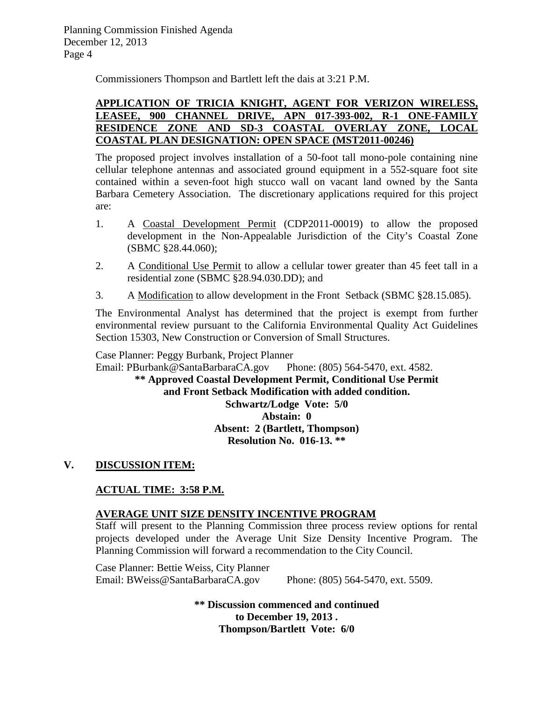Commissioners Thompson and Bartlett left the dais at 3:21 P.M.

#### **APPLICATION OF TRICIA KNIGHT, AGENT FOR VERIZON WIRELESS, LEASEE, 900 CHANNEL DRIVE, APN 017-393-002, R-1 ONE-FAMILY RESIDENCE ZONE AND SD-3 COASTAL OVERLAY ZONE, LOCAL COASTAL PLAN DESIGNATION: OPEN SPACE (MST2011-00246)**

The proposed project involves installation of a 50-foot tall mono-pole containing nine cellular telephone antennas and associated ground equipment in a 552-square foot site contained within a seven-foot high stucco wall on vacant land owned by the Santa Barbara Cemetery Association. The discretionary applications required for this project are:

- 1. A Coastal Development Permit (CDP2011-00019) to allow the proposed development in the Non-Appealable Jurisdiction of the City's Coastal Zone (SBMC §28.44.060);
- 2. A Conditional Use Permit to allow a cellular tower greater than 45 feet tall in a residential zone (SBMC §28.94.030.DD); and
- 3. A Modification to allow development in the Front Setback (SBMC §28.15.085).

The Environmental Analyst has determined that the project is exempt from further environmental review pursuant to the California Environmental Quality Act Guidelines Section 15303, New Construction or Conversion of Small Structures.

Case Planner: Peggy Burbank, Project Planner

Email: PBurbank@SantaBarbaraCA.gov Phone: (805) 564-5470, ext. 4582.

**\*\* Approved Coastal Development Permit, Conditional Use Permit and Front Setback Modification with added condition. Schwartz/Lodge Vote: 5/0 Abstain: 0 Absent: 2 (Bartlett, Thompson) Resolution No. 016-13. \*\***

# **V. DISCUSSION ITEM:**

## **ACTUAL TIME: 3:58 P.M.**

### **AVERAGE UNIT SIZE DENSITY INCENTIVE PROGRAM**

Staff will present to the Planning Commission three process review options for rental projects developed under the Average Unit Size Density Incentive Program. The Planning Commission will forward a recommendation to the City Council.

Case Planner: Bettie Weiss, City Planner Email: BWeiss@SantaBarbaraCA.gov Phone: (805) 564-5470, ext. 5509.

> **\*\* Discussion commenced and continued to December 19, 2013 . Thompson/Bartlett Vote: 6/0**